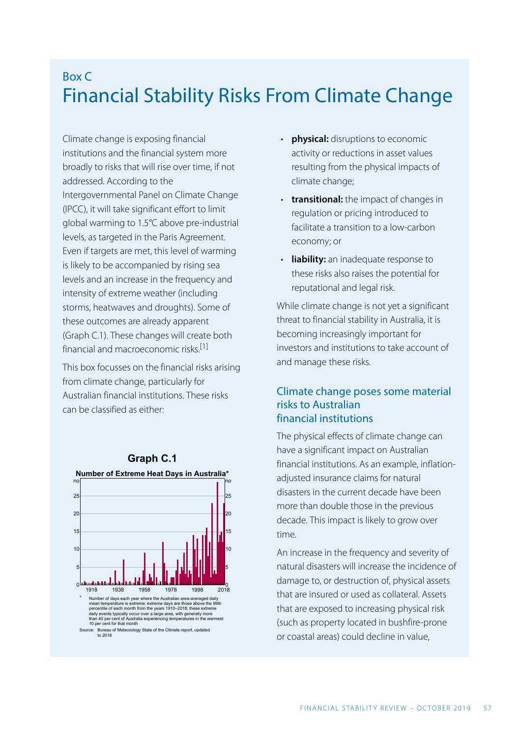# Box C Financial Stability Risks From Climate Change

Climate change is exposing financial institutions and the financial system more broadly to risks that will rise over time, if not addressed. According to the Intergovernmental Panel on Climate Change (IPCC), it will take significant effort to limit global warming to 1.5°C above pre-industrial levels, as targeted in the Paris Agreement. Even if targets are met, this level of warming is likely to be accompanied by rising sea levels and an increase in the frequency and intensity of extreme weather (including storms, heatwaves and droughts). Some of these outcomes are already apparent (Graph C.1). These changes will create both financial and macroeconomic risks. [\[1\]](#page-4-0)

<span id="page-0-0"></span>This box focusses on the financial risks arising from climate change, particularly for Australian financial institutions. These risks can be classified as either:



Source: Bureau of Meteorology State of the Climate report, updated to 2018

- **physical:** disruptions to economic activity or reductions in asset values resulting from the physical impacts of climate change;
- **transitional:** the impact of changes in regulation or pricing introduced to facilitate a transition to a low-carbon economy; or
- **liability:** an inadequate response to these risks also raises the potential for reputational and legal risk.

While climate change is not yet a significant threat to financial stability in Australia, it is becoming increasingly important for investors and institutions to take account of and manage these risks.

### Climate change poses some material risks to Australian financial institutions

The physical effects of climate change can have a significant impact on Australian financial institutions. As an example, inflationadjusted insurance claims for natural disasters in the current decade have been more than double those in the previous decade. This impact is likely to grow over time.

An increase in the frequency and severity of natural disasters will increase the incidence of damage to, or destruction of, physical assets that are insured or used as collateral. Assets that are exposed to increasing physical risk (such as property located in bushfire-prone or coastal areas) could decline in value,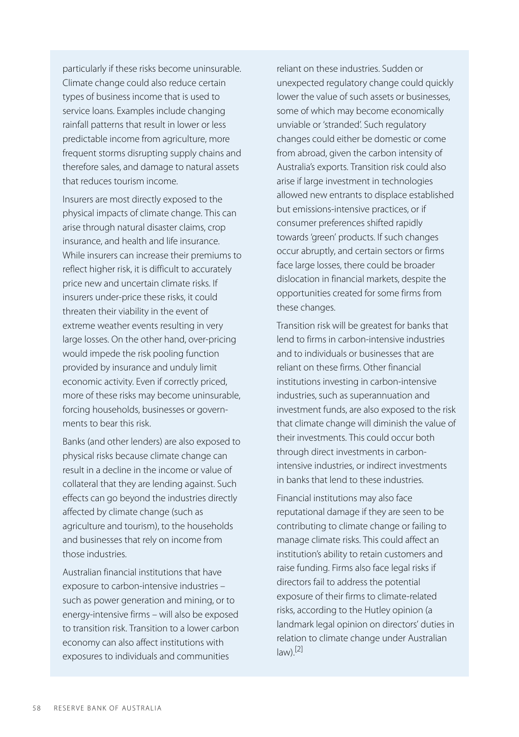particularly if these risks become uninsurable. Climate change could also reduce certain types of business income that is used to service loans. Examples include changing rainfall patterns that result in lower or less predictable income from agriculture, more frequent storms disrupting supply chains and therefore sales, and damage to natural assets that reduces tourism income.

Insurers are most directly exposed to the physical impacts of climate change. This can arise through natural disaster claims, crop insurance, and health and life insurance. While insurers can increase their premiums to reflect higher risk, it is difficult to accurately price new and uncertain climate risks. If insurers under-price these risks, it could threaten their viability in the event of extreme weather events resulting in very large losses. On the other hand, over-pricing would impede the risk pooling function provided by insurance and unduly limit economic activity. Even if correctly priced, more of these risks may become uninsurable, forcing households, businesses or governments to bear this risk.

Banks (and other lenders) are also exposed to physical risks because climate change can result in a decline in the income or value of collateral that they are lending against. Such effects can go beyond the industries directly affected by climate change (such as agriculture and tourism), to the households and businesses that rely on income from those industries.

<span id="page-1-0"></span>Australian financial institutions that have exposure to carbon-intensive industries – such as power generation and mining, or to energy-intensive firms – will also be exposed to transition risk. Transition to a lower carbon economy can also affect institutions with exposures to individuals and communities

reliant on these industries. Sudden or unexpected regulatory change could quickly lower the value of such assets or businesses, some of which may become economically unviable or 'stranded'. Such regulatory changes could either be domestic or come from abroad, given the carbon intensity of Australia's exports. Transition risk could also arise if large investment in technologies allowed new entrants to displace established but emissions-intensive practices, or if consumer preferences shifted rapidly towards 'green' products. If such changes occur abruptly, and certain sectors or firms face large losses, there could be broader dislocation in financial markets, despite the opportunities created for some firms from these changes.

Transition risk will be greatest for banks that lend to firms in carbon-intensive industries and to individuals or businesses that are reliant on these firms. Other financial institutions investing in carbon-intensive industries, such as superannuation and investment funds, are also exposed to the risk that climate change will diminish the value of their investments. This could occur both through direct investments in carbonintensive industries, or indirect investments in banks that lend to these industries.

Financial institutions may also face reputational damage if they are seen to be contributing to climate change or failing to manage climate risks. This could affect an institution's ability to retain customers and raise funding. Firms also face legal risks if directors fail to address the potential exposure of their firms to climate-related risks, according to the Hutley opinion (a landmark legal opinion on directors' duties in relation to climate change under Australian  $law)$ .[\[2\]](#page-4-1)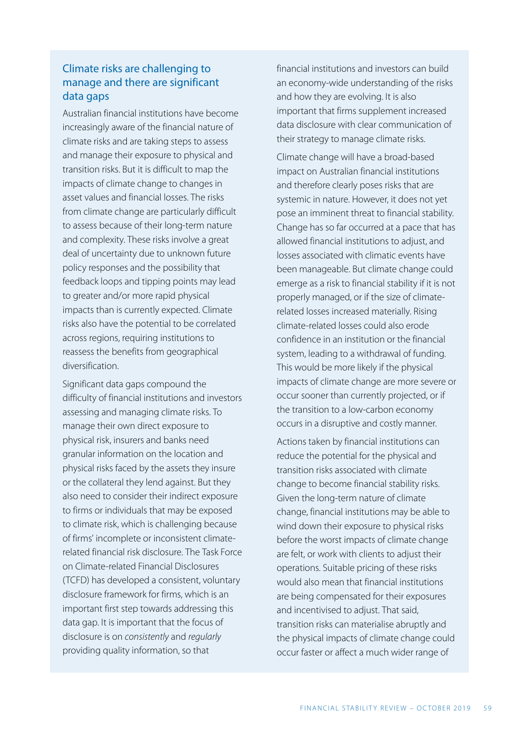## Climate risks are challenging to manage and there are significant data gaps

Australian financial institutions have become increasingly aware of the financial nature of climate risks and are taking steps to assess and manage their exposure to physical and transition risks. But it is difficult to map the impacts of climate change to changes in asset values and financial losses. The risks from climate change are particularly difficult to assess because of their long-term nature and complexity. These risks involve a great deal of uncertainty due to unknown future policy responses and the possibility that feedback loops and tipping points may lead to greater and/or more rapid physical impacts than is currently expected. Climate risks also have the potential to be correlated across regions, requiring institutions to reassess the benefits from geographical diversification.

Significant data gaps compound the difficulty of financial institutions and investors assessing and managing climate risks. To manage their own direct exposure to physical risk, insurers and banks need granular information on the location and physical risks faced by the assets they insure or the collateral they lend against. But they also need to consider their indirect exposure to firms or individuals that may be exposed to climate risk, which is challenging because of firms' incomplete or inconsistent climaterelated financial risk disclosure. The Task Force on Climate-related Financial Disclosures (TCFD) has developed a consistent, voluntary disclosure framework for firms, which is an important first step towards addressing this data gap. It is important that the focus of disclosure is on *consistently* and *regularly*  providing quality information, so that

financial institutions and investors can build an economy-wide understanding of the risks and how they are evolving. It is also important that firms supplement increased data disclosure with clear communication of their strategy to manage climate risks.

Climate change will have a broad-based impact on Australian financial institutions and therefore clearly poses risks that are systemic in nature. However, it does not yet pose an imminent threat to financial stability. Change has so far occurred at a pace that has allowed financial institutions to adjust, and losses associated with climatic events have been manageable. But climate change could emerge as a risk to financial stability if it is not properly managed, or if the size of climaterelated losses increased materially. Rising climate-related losses could also erode confidence in an institution or the financial system, leading to a withdrawal of funding. This would be more likely if the physical impacts of climate change are more severe or occur sooner than currently projected, or if the transition to a low-carbon economy occurs in a disruptive and costly manner.

Actions taken by financial institutions can reduce the potential for the physical and transition risks associated with climate change to become financial stability risks. Given the long-term nature of climate change, financial institutions may be able to wind down their exposure to physical risks before the worst impacts of climate change are felt, or work with clients to adjust their operations. Suitable pricing of these risks would also mean that financial institutions are being compensated for their exposures and incentivised to adjust. That said, transition risks can materialise abruptly and the physical impacts of climate change could occur faster or affect a much wider range of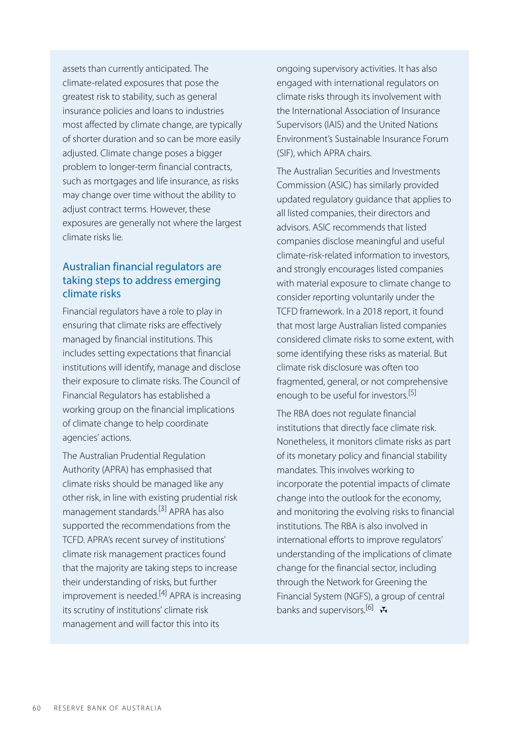assets than currently anticipated. The climate-related exposures that pose the greatest risk to stability, such as general insurance policies and loans to industries most affected by climate change, are typically of shorter duration and so can be more easily adjusted. Climate change poses a bigger problem to longer-term financial contracts, such as mortgages and life insurance, as risks may change over time without the ability to adjust contract terms. However, these exposures are generally not where the largest climate risks lie.

## Australian financial regulators are taking steps to address emerging climate risks

Financial regulators have a role to play in ensuring that climate risks are effectively managed by financial institutions. This includes setting expectations that financial institutions will identify, manage and disclose their exposure to climate risks. The Council of Financial Regulators has established a working group on the financial implications of climate change to help coordinate agencies' actions.

<span id="page-3-3"></span><span id="page-3-2"></span><span id="page-3-1"></span><span id="page-3-0"></span>The Australian Prudential Regulation Authority (APRA) has emphasised that climate risks should be managed like any other risk, in line with existing prudential risk management standards.<sup>[\[3\]](#page-4-2)</sup> APRA has also supported the recommendations from the TCFD. APRA's recent survey of institutions' climate risk management practices found that the majority are taking steps to increase their understanding of risks, but further improvement is needed.<sup>[\[4\]](#page-4-3)</sup> APRA is increasing its scrutiny of institutions' climate risk management and will factor this into its

ongoing supervisory activities. It has also engaged with international regulators on climate risks through its involvement with the International Association of Insurance Supervisors (IAIS) and the United Nations Environment's Sustainable Insurance Forum (SIF), which APRA chairs.

The Australian Securities and Investments Commission (ASIC) has similarly provided updated regulatory guidance that applies to all listed companies, their directors and advisors. ASIC recommends that listed companies disclose meaningful and useful climate-risk-related information to investors, and strongly encourages listed companies with material exposure to climate change to consider reporting voluntarily under the TCFD framework. In a 2018 report, it found that most large Australian listed companies considered climate risks to some extent, with some identifying these risks as material. But climate risk disclosure was often too fragmented, general, or not comprehensive enough to be useful for investors. [\[5\]](#page-4-2)

The RBA does not regulate financial institutions that directly face climate risk. Nonetheless, it monitors climate risks as part of its monetary policy and financial stability mandates. This involves working to incorporate the potential impacts of climate change into the outlook for the economy, and monitoring the evolving risks to financial institutions. The RBA is also involved in international efforts to improve regulators' understanding of the implications of climate change for the financial sector, including through the Network for Greening the Financial System (NGFS), a group of central banks and supervisors.<sup>[\[6\]](#page-4-4)</sup>